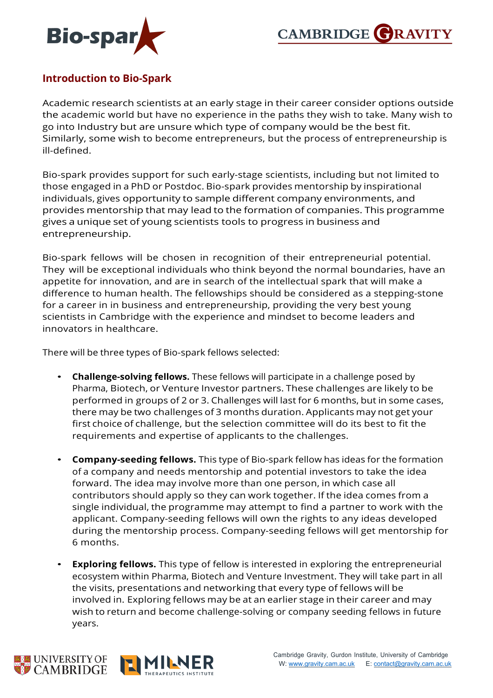



## **Introduction to Bio-Spark**

Academic research scientists at an early stage in their career consider options outside the academic world but have no experience in the paths they wish to take. Many wish to go into Industry but are unsure which type of company would be the best fit. Similarly, some wish to become entrepreneurs, but the process of entrepreneurship is ill-defined.

Bio-spark provides support for such early-stage scientists, including but not limited to those engaged in a PhD or Postdoc. Bio-spark provides mentorship by inspirational individuals, gives opportunity to sample different company environments, and provides mentorship that may lead to the formation of companies. This programme gives a unique set of young scientists tools to progress in business and entrepreneurship.

Bio-spark fellows will be chosen in recognition of their entrepreneurial potential. They will be exceptional individuals who think beyond the normal boundaries, have an appetite for innovation, and are in search of the intellectual spark that will make a difference to human health. The fellowships should be considered as a stepping-stone for a career in in business and entrepreneurship, providing the very best young scientists in Cambridge with the experience and mindset to become leaders and innovators in healthcare.

There will be three types of Bio-spark fellows selected:

- **Challenge-solving fellows.** These fellows will participate in a challenge posed by Pharma, Biotech, or Venture Investor partners. These challenges are likely to be performed in groups of 2 or 3. Challenges will last for 6 months, but in some cases, there may be two challenges of 3 months duration. Applicants may not get your first choice of challenge, but the selection committee will do its best to fit the requirements and expertise of applicants to the challenges.
- **Company-seeding fellows.** This type of Bio-spark fellow has ideas for the formation of a company and needs mentorship and potential investors to take the idea forward. The idea may involve more than one person, in which case all contributors should apply so they can work together. If the idea comes from a single individual, the programme may attempt to find a partner to work with the applicant. Company-seeding fellows will own the rights to any ideas developed during the mentorship process. Company-seeding fellows will get mentorship for 6 months.
- **Exploring fellows.** This type of fellow is interested in exploring the entrepreneurial ecosystem within Pharma, Biotech and Venture Investment. They will take part in all the visits, presentations and networking that every type of fellows will be involved in. Exploring fellows may be at an earlier stage in their career and may wish to return and become challenge-solving or company seeding fellows in future years.